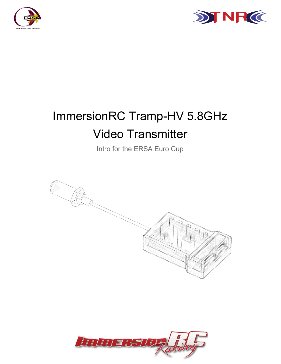



# ImmersionRC Tramp-HV 5.8GHz Video Transmitter

Intro for the ERSA Euro Cup



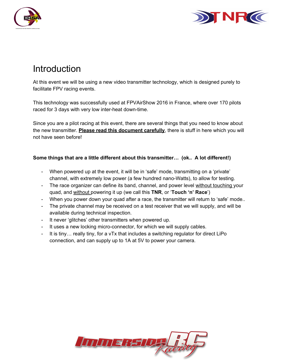



# Introduction

At this event we will be using a new video transmitter technology, which is designed purely to facilitate FPV racing events.

This technology was successfully used at FPVAirShow 2016 in France, where over 170 pilots raced for 3 days with very low inter-heat down-time.

Since you are a pilot racing at this event, there are several things that you need to know about the new transmitter. **Please read this document carefully**, there is stuff in here which you will not have seen before!

#### **Some things that are a little different about this transmitter… (ok.. A lot different!)**

- When powered up at the event, it will be in 'safe' mode, transmitting on a 'private' channel, with extremely low power (a few hundred nano-Watts), to allow for testing.
- The race organizer can define its band, channel, and power level without touching your quad, and without powering it up (we call this **TNR**, or '**Touch 'n' Race**' )
- When you power down your quad after a race, the transmitter will return to 'safe' mode..
- The private channel may be received on a test receiver that we will supply, and will be available during technical inspection.
- It never 'glitches' other transmitters when powered up.
- It uses a new locking micro-connector, for which we will supply cables.
- It is tiny... really tiny, for a vTx that includes a switching regulator for direct LiPo connection, and can supply up to 1A at 5V to power your camera.

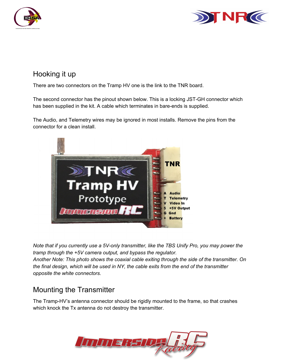



#### Hooking it up

There are two connectors on the Tramp HV one is the link to the TNR board.

The second connector has the pinout shown below. This is a locking JST-GH connector which has been supplied in the kit. A cable which terminates in bare-ends is supplied.

The Audio, and Telemetry wires may be ignored in most installs. Remove the pins from the connector for a clean install.



*Note that if you currently use a 5V-only transmitter, like the TBS Unify Pro, you may power the tramp through the +5V camera output, and bypass the regulator. Another Note: This photo shows the coaxial cable exiting through the side of the transmitter. On the final design, which will be used in NY, the cable exits from the end of the transmitter opposite the white connectors.*

### Mounting the Transmitter

The Tramp-HV's antenna connector should be rigidly mounted to the frame, so that crashes which knock the Tx antenna do not destroy the transmitter.

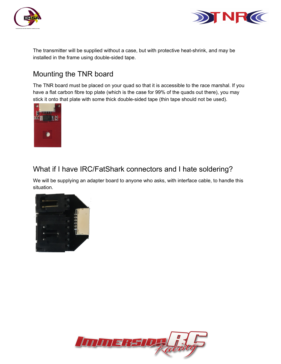



The transmitter will be supplied without a case, but with protective heat-shrink, and may be installed in the frame using double-sided tape.

#### Mounting the TNR board

The TNR board must be placed on your quad so that it is accessible to the race marshal. If you have a flat carbon fibre top plate (which is the case for 99% of the quads out there), you may stick it onto that plate with some thick double-sided tape (thin tape should not be used).



#### What if I have IRC/FatShark connectors and I hate soldering?

We will be supplying an adapter board to anyone who asks, with interface cable, to handle this situation.



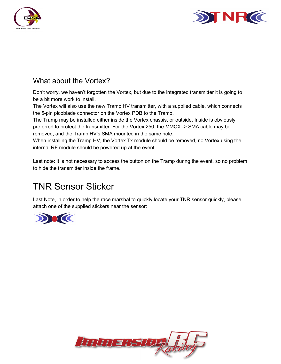



#### What about the Vortex?

Don't worry, we haven't forgotten the Vortex, but due to the integrated transmitter it is going to be a bit more work to install.

The Vortex will also use the new Tramp HV transmitter, with a supplied cable, which connects the 5-pin picoblade connector on the Vortex PDB to the Tramp.

The Tramp may be installed either inside the Vortex chassis, or outside. Inside is obviously preferred to protect the transmitter. For the Vortex 250, the MMCX > SMA cable may be removed, and the Tramp HV's SMA mounted in the same hole.

When installing the Tramp HV, the Vortex Tx module should be removed, no Vortex using the internal RF module should be powered up at the event.

Last note: it is not necessary to access the button on the Tramp during the event, so no problem to hide the transmitter inside the frame.

## TNR Sensor Sticker

Last Note, in order to help the race marshal to quickly locate your TNR sensor quickly, please attach one of the supplied stickers near the sensor:



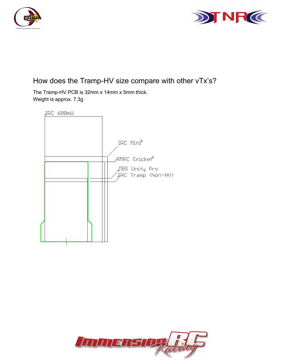



#### How does the Tramp-HV size compare with other vTx's?

The Tramp-HV PCB is 32mm x 14mm x 5mm thick. Weight is approx. 7.3g